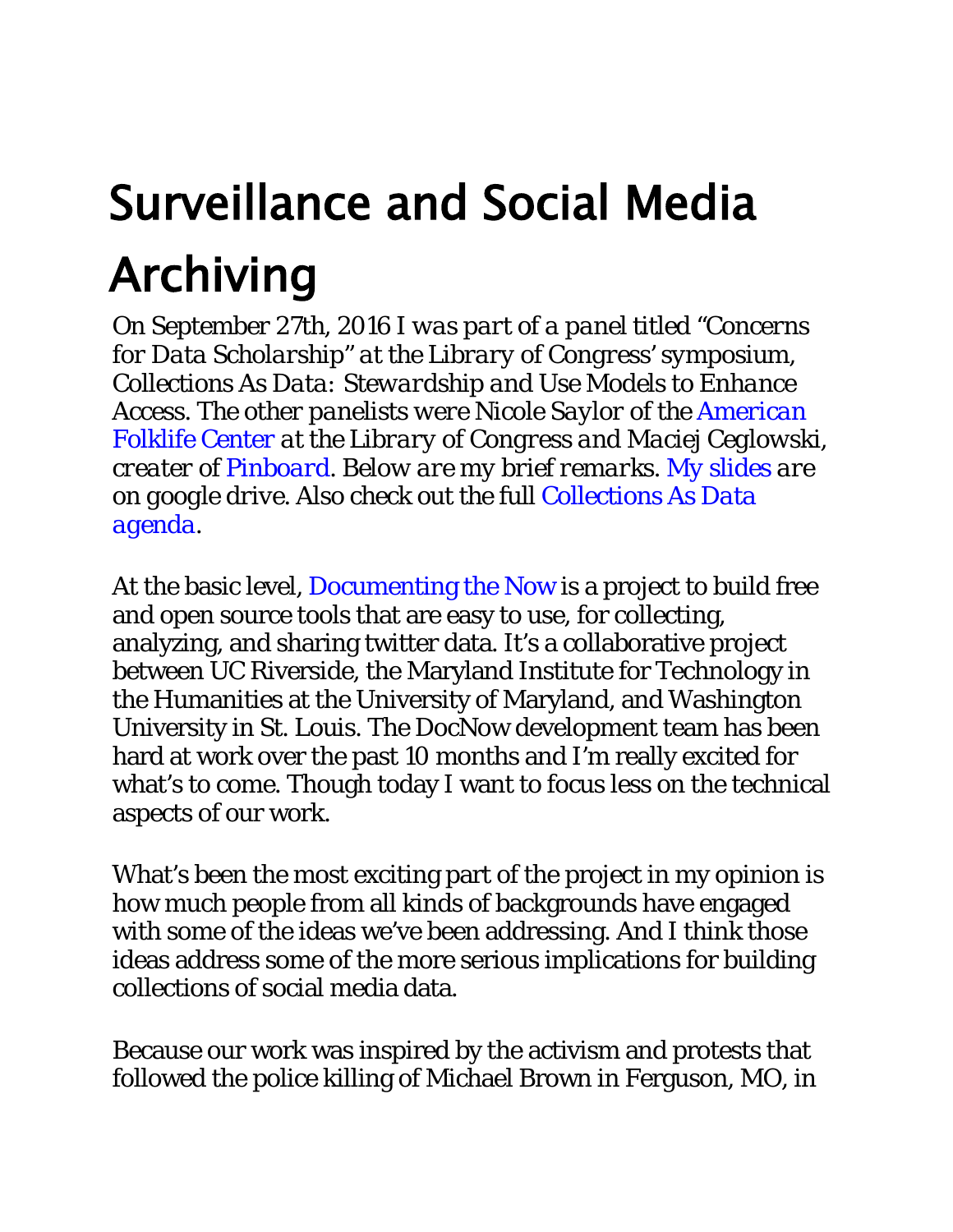## Surveillance and Social Media Archiving

*On September 27th, 2016 I was part of a panel titled "Concerns for Data Scholarship" at the Library of Congress' symposium, Collections As Data: Stewardship and Use Models to Enhance Access. The other panelists were Nicole Saylor of the [American](http://www.loc.gov/folklife/)  [Folklife Center](http://www.loc.gov/folklife/) at the Library of Congress and Maciej Ceglowski, creater of [Pinboard.](http://pinboard.in/) Below are my brief remarks. [My slides](https://docs.google.com/presentation/d/1Cm8Eu29xMeRjnl3PKOkdrG9em0wbZo_7xyT7d42zzT8/edit?usp=sharing) are on google drive. Also check out the full [Collections As Data](http://digitalpreservation.gov/meetings/dcs16.html)  [agenda.](http://digitalpreservation.gov/meetings/dcs16.html)*

At the basic level, [Documenting the Now](http://www.docnow.io/) is a project to build free and open source tools that are easy to use, for collecting, analyzing, and sharing twitter data. It's a collaborative project between UC Riverside, the Maryland Institute for Technology in the Humanities at the University of Maryland, and Washington University in St. Louis. The DocNow development team has been hard at work over the past 10 months and I'm really excited for what's to come. Though today I want to focus less on the technical aspects of our work.

What's been the most exciting part of the project in my opinion is how much people from all kinds of backgrounds have engaged with some of the ideas we've been addressing. And I think those ideas address some of the more serious implications for building collections of social media data.

Because our work was inspired by the activism and protests that followed the police killing of Michael Brown in Ferguson, MO, in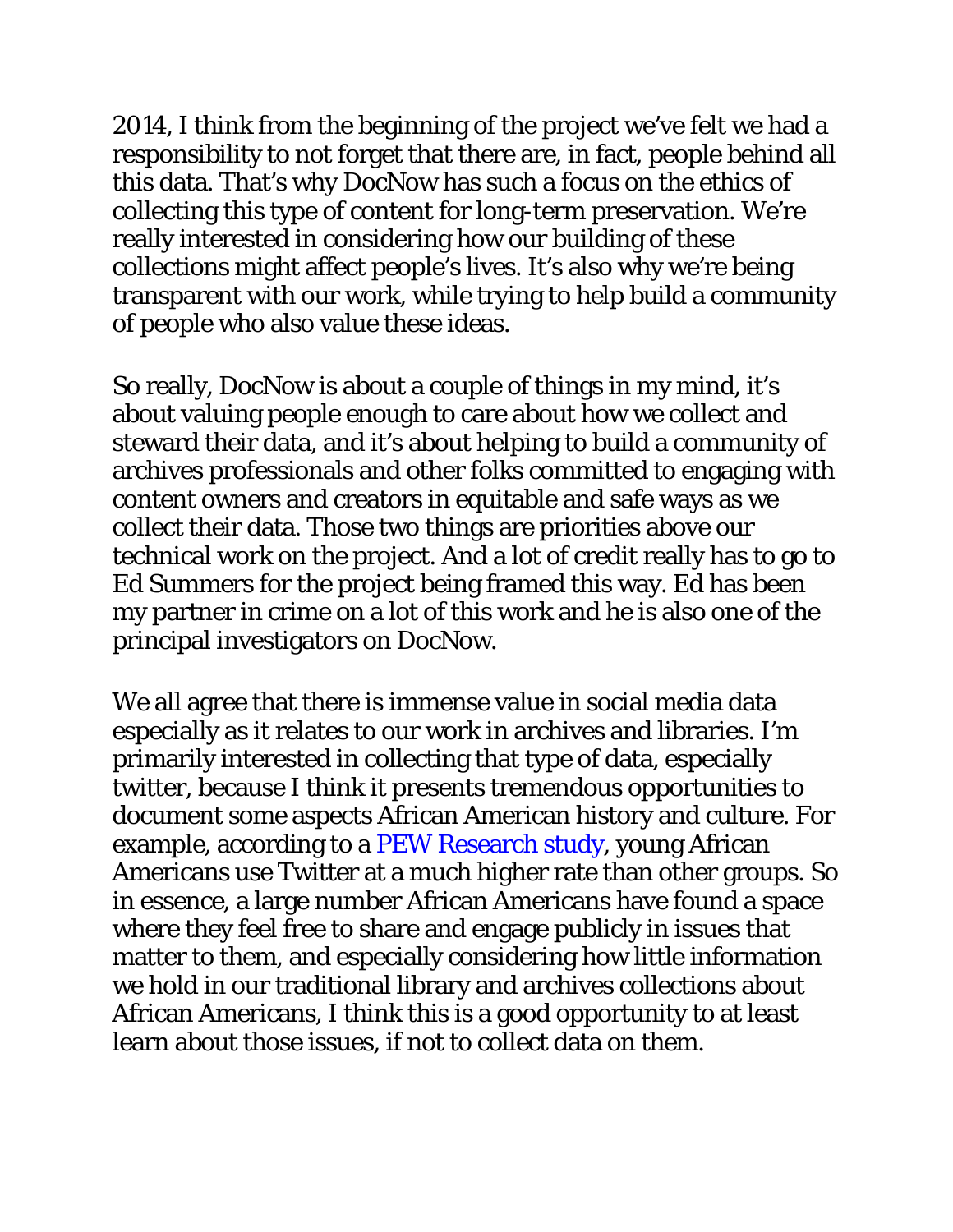2014, I think from the beginning of the project we've felt we had a responsibility to not forget that there are, in fact, people behind all this data. That's why DocNow has such a focus on the ethics of collecting this type of content for long-term preservation. We're really interested in considering how our building of these collections might affect people's lives. It's also why we're being transparent with our work, while trying to help build a community of people who also value these ideas.

So really, DocNow is about a couple of things in my mind, it's about valuing people enough to care about how we collect and steward their data, and it's about helping to build a community of archives professionals and other folks committed to engaging with content owners and creators in equitable and safe ways as we collect their data. Those two things are priorities above our technical work on the project. And a lot of credit really has to go to Ed Summers for the project being framed this way. Ed has been my partner in crime on a lot of this work and he is also one of the principal investigators on DocNow.

We all agree that there is immense value in social media data especially as it relates to our work in archives and libraries. I'm primarily interested in collecting that type of data, especially twitter, because I think it presents tremendous opportunities to document some aspects African American history and culture. For example, according to a [PEW Research study,](http://www.pewinternet.org/2014/01/06/african-americans-and-technology-use/) young African Americans use Twitter at a much higher rate than other groups. So in essence, a large number African Americans have found a space where they feel free to share and engage publicly in issues that matter to them, and especially considering how little information we hold in our traditional library and archives collections about African Americans, I think this is a good opportunity to at least learn about those issues, if not to collect data on them.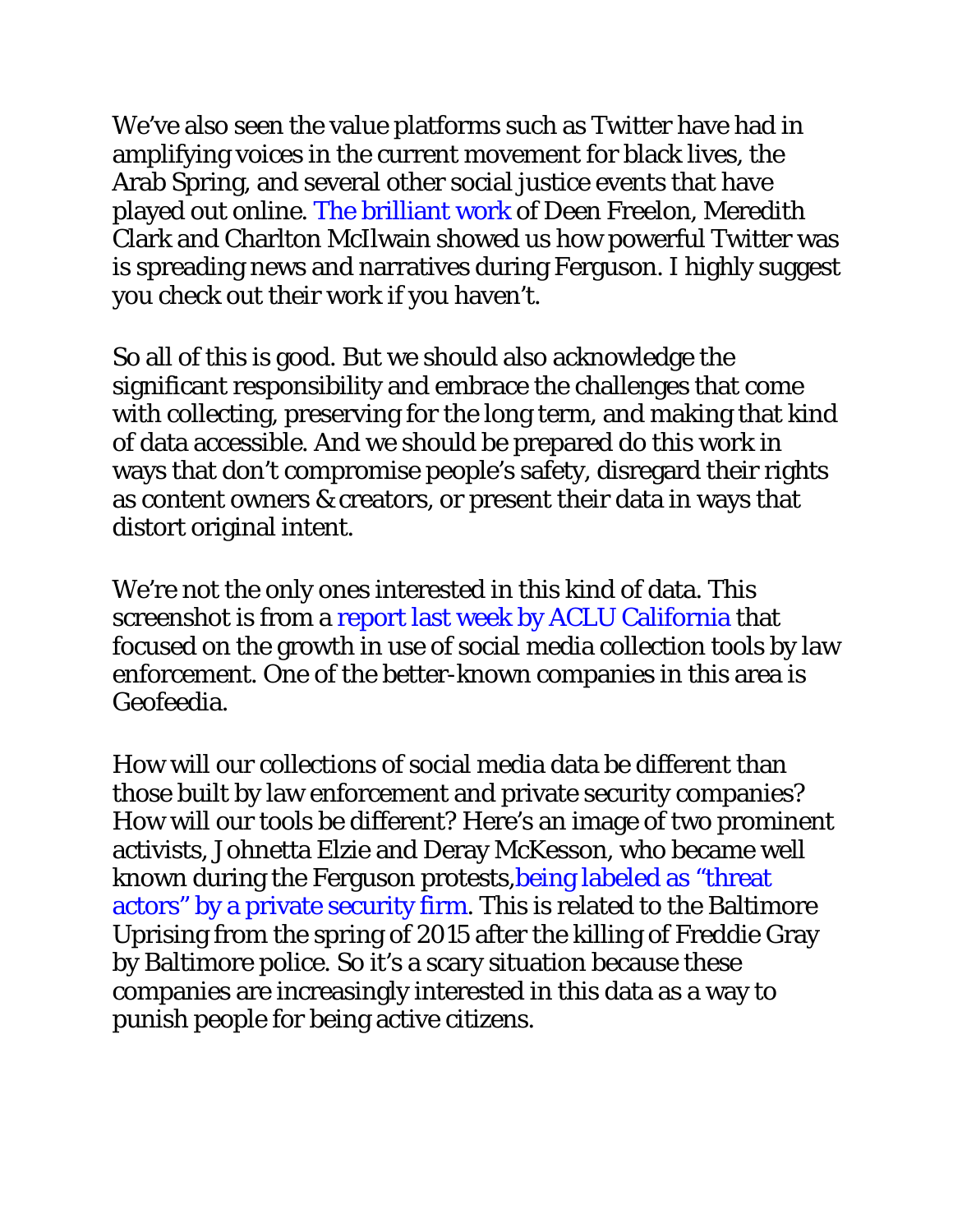We've also seen the value platforms such as Twitter have had in amplifying voices in the current movement for black lives, the Arab Spring, and several other social justice events that have played out online. [The brilliant work](http://cmsimpact.org/resource/beyond-hashtags-ferguson-blacklivesmatter-online-struggle-offline-justice/) of Deen Freelon, Meredith Clark and Charlton McIlwain showed us how powerful Twitter was is spreading news and narratives during Ferguson. I highly suggest you check out their work if you haven't.

So all of this is good. But we should also acknowledge the significant responsibility and embrace the challenges that come with collecting, preserving for the long term, and making that kind of data accessible. And we should be prepared do this work in ways that don't compromise people's safety, disregard their rights as content owners & creators, or present their data in ways that distort original intent.

We're not the only ones interested in this kind of data. This screenshot is from a [report last week by ACLU California](https://www.aclu.org/blog/free-future/police-use-social-media-surveillance-software-escalating-and-activists-are-digital) that focused on the growth in use of social media collection tools by law enforcement. One of the better-known companies in this area is Geofeedia.

How will our collections of social media data be different than those built by law enforcement and private security companies? How will our tools be different? Here's an image of two prominent activists, Johnetta Elzie and Deray McKesson, who became well known during the Ferguson protests[,being labeled as "threat](http://www.motherjones.com/politics/2015/07/zerofox-report-baltimore-black-lives-matter)  [actors" by a private security firm.](http://www.motherjones.com/politics/2015/07/zerofox-report-baltimore-black-lives-matter) This is related to the Baltimore Uprising from the spring of 2015 after the killing of Freddie Gray by Baltimore police. So it's a scary situation because these companies are increasingly interested in this data as a way to punish people for being active citizens.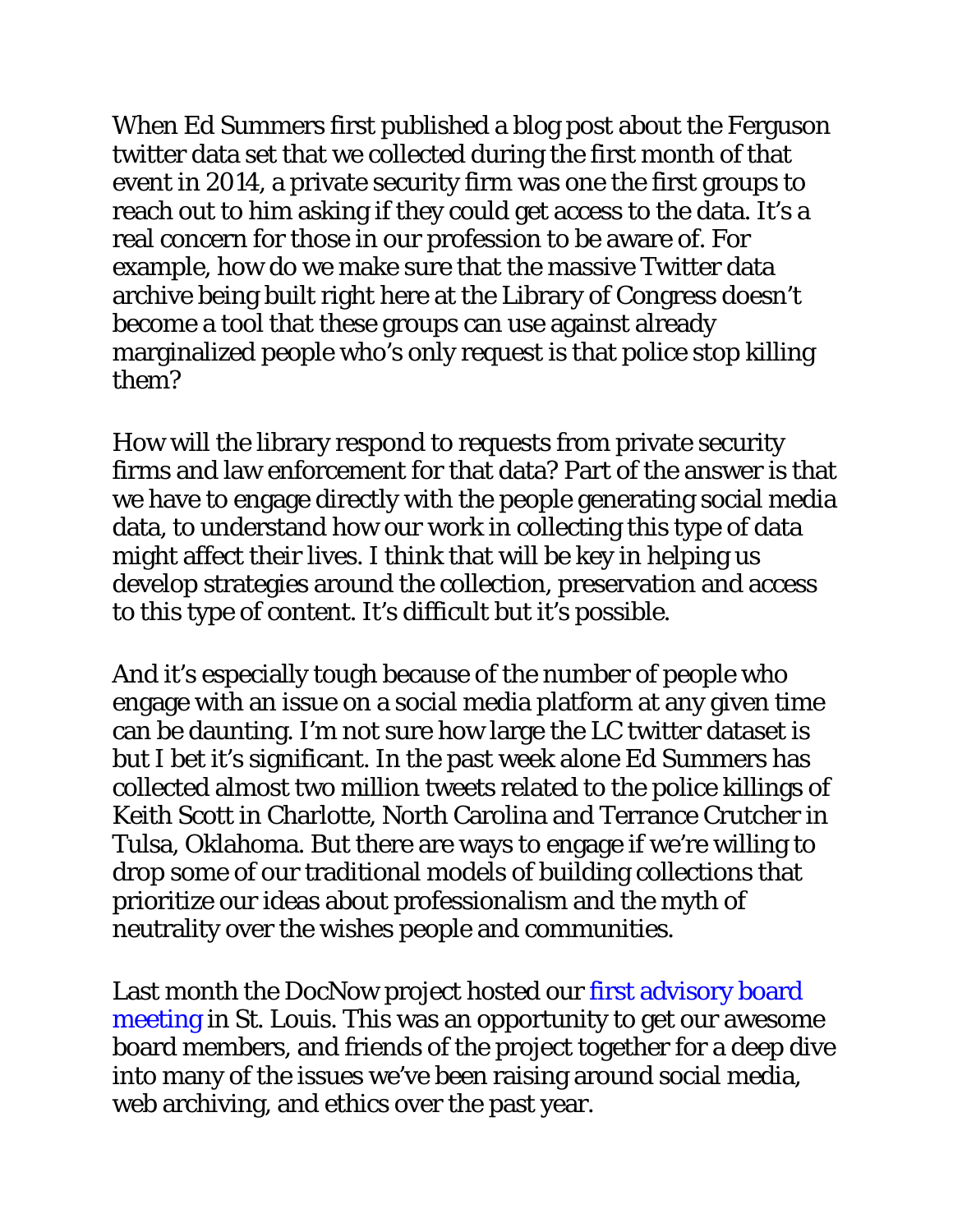When Ed Summers first published a blog post about the Ferguson twitter data set that we collected during the first month of that event in 2014, a private security firm was one the first groups to reach out to him asking if they could get access to the data. It's a real concern for those in our profession to be aware of. For example, how do we make sure that the massive Twitter data archive being built right here at the Library of Congress doesn't become a tool that these groups can use against already marginalized people who's only request is that police stop killing them?

How will the library respond to requests from private security firms and law enforcement for that data? Part of the answer is that we have to engage directly with the people generating social media data, to understand how our work in collecting this type of data might affect their lives. I think that will be key in helping us develop strategies around the collection, preservation and access to this type of content. It's difficult but it's possible.

And it's especially tough because of the number of people who engage with an issue on a social media platform at any given time can be daunting. I'm not sure how large the LC twitter dataset is but I bet it's significant. In the past week alone Ed Summers has collected almost two million tweets related to the police killings of Keith Scott in Charlotte, North Carolina and Terrance Crutcher in Tulsa, Oklahoma. But there are ways to engage if we're willing to drop some of our traditional models of building collections that prioritize our ideas about professionalism and the myth of neutrality over the wishes people and communities.

Last month the DocNow project hosted our [first advisory board](http://www.docnow.io/meetings/stl-2016/)  [meeting](http://www.docnow.io/meetings/stl-2016/) in St. Louis. This was an opportunity to get our awesome board members, and friends of the project together for a deep dive into many of the issues we've been raising around social media, web archiving, and ethics over the past year.